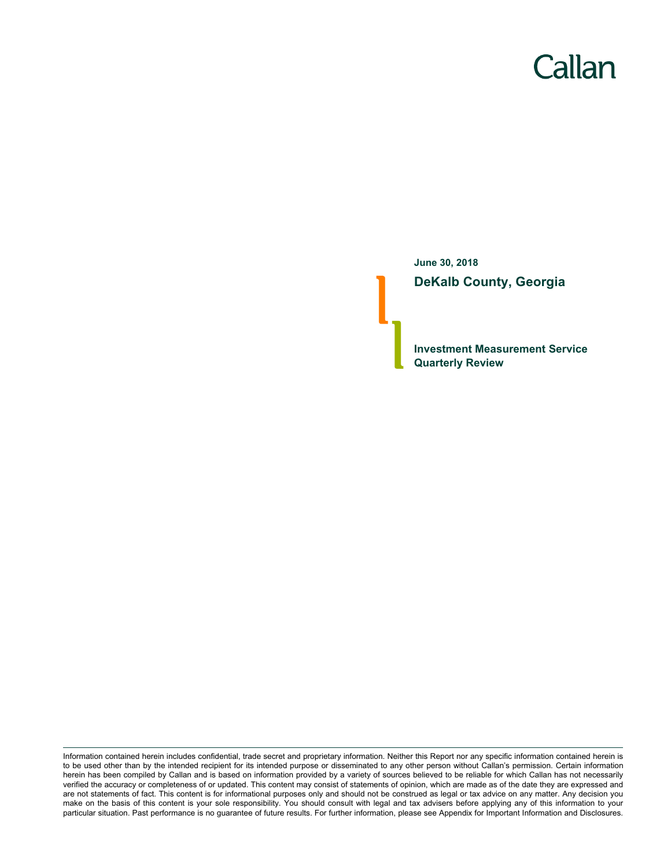# Callan

**June 30, 2018 DeKalb County, Georgia**

**Investment Measurement Service Quarterly Review**

Information contained herein includes confidential, trade secret and proprietary information. Neither this Report nor any specific information contained herein is to be used other than by the intended recipient for its intended purpose or disseminated to any other person without Callan's permission. Certain information herein has been compiled by Callan and is based on information provided by a variety of sources believed to be reliable for which Callan has not necessarily verified the accuracy or completeness of or updated. This content may consist of statements of opinion, which are made as of the date they are expressed and are not statements of fact. This content is for informational purposes only and should not be construed as legal or tax advice on any matter. Any decision you make on the basis of this content is your sole responsibility. You should consult with legal and tax advisers before applying any of this information to your particular situation. Past performance is no guarantee of future results. For further information, please see Appendix for Important Information and Disclosures.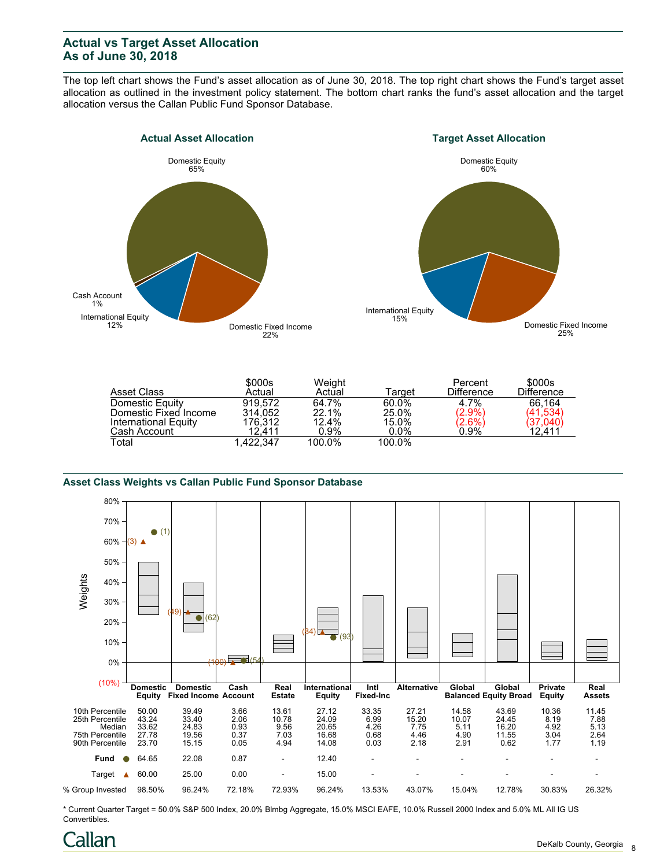## **Actual vs Target Asset Allocation As of June 30, 2018**

The top left chart shows the Fund's asset allocation as of June 30, 2018. The top right chart shows the Fund's target asset allocation as outlined in the investment policy statement. The bottom chart ranks the fund's asset allocation and the target allocation versus the Callan Public Fund Sponsor Database.





| Asset Class           | \$000s<br>Actual | Weight<br>Actual | Target  | Percent<br><b>Difference</b> | \$000s<br><b>Difference</b> |
|-----------------------|------------------|------------------|---------|------------------------------|-----------------------------|
| Domestic Equity       | 919.572          | 64.7%            | 60.0%   | 4.7%                         | 66.164                      |
| Domestic Fixed Income | 314.052          | 22.1%            | 25.0%   | $(2.9\%)$                    | (41, 534)                   |
| International Equity  | 176.312          | 12.4%            | 15.0%   | $(2.6\%)$                    | (37,040)                    |
| Cash Account          | 12.411           | $0.9\%$          | $0.0\%$ | 0.9%                         | 12,411                      |
| Total                 | 1.422.347        | 100.0%           | 100.0%  |                              |                             |

#### **Asset Class Weights vs Callan Public Fund Sponsor Database**



\* Current Quarter Target = 50.0% S&P 500 Index, 20.0% Blmbg Aggregate, 15.0% MSCI EAFE, 10.0% Russell 2000 Index and 5.0% ML All IG US Convertibles.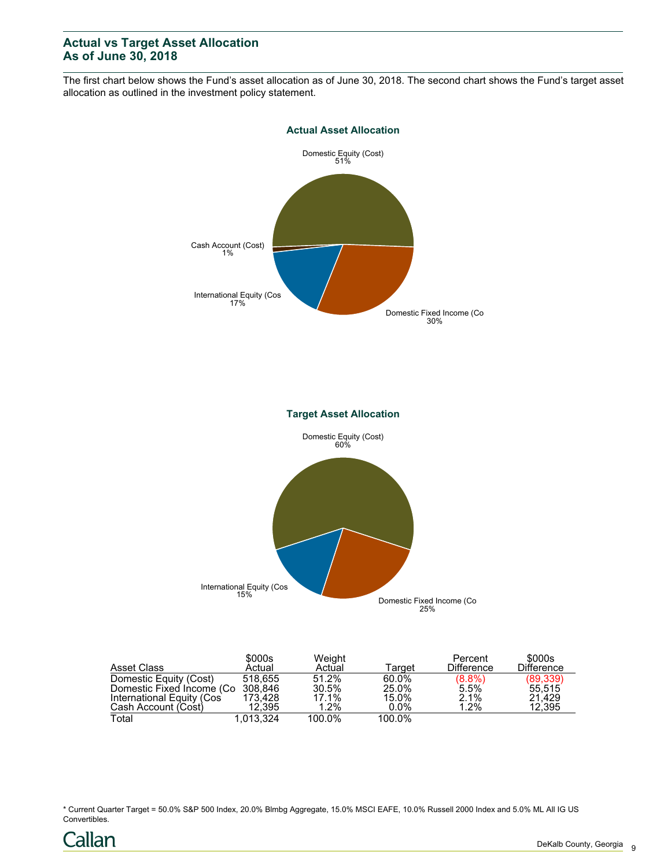## **Actual vs Target Asset Allocation As of June 30, 2018**

The first chart below shows the Fund's asset allocation as of June 30, 2018. The second chart shows the Fund's target asset allocation as outlined in the investment policy statement.



| Asset Class                       | \$000s<br>Actual | Weight<br>Actual | Tarɑet  | Percent<br><b>Difference</b> | \$000s<br><b>Difference</b> |
|-----------------------------------|------------------|------------------|---------|------------------------------|-----------------------------|
| Domestic Equity (Cost)            | 518.655          | 51.2%            | 60.0%   |                              | (89, 339)                   |
| Domestic Fixed Income (Co 308,846 |                  | 30.5%            | 25.0%   | $(8.8%)$<br>5.5%             | 55.515                      |
| International Equity (Cos         | 173.428          | 17.1%            | 15.0%   | 2.1%                         | 21.429                      |
| Cash Account (Cost)               | 12.395           | 1.2%             | $0.0\%$ | 1.2%                         | 12.395                      |
| Total                             | 1.013.324        | 100.0%           | 100.0%  |                              |                             |

\* Current Quarter Target = 50.0% S&P 500 Index, 20.0% Blmbg Aggregate, 15.0% MSCI EAFE, 10.0% Russell 2000 Index and 5.0% ML All IG US Convertibles.

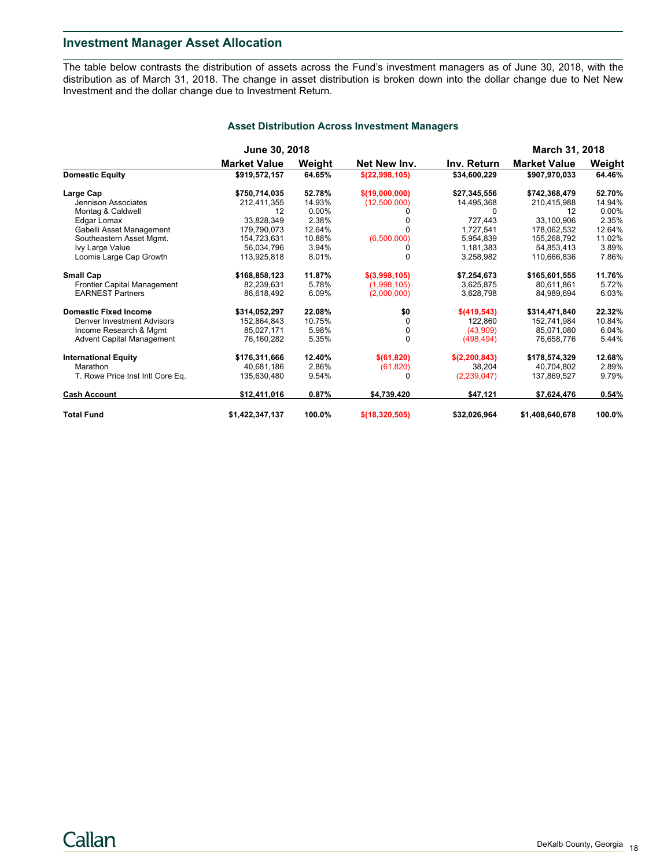## **Investment Manager Asset Allocation**

The table below contrasts the distribution of assets across the Fund's investment managers as of June 30, 2018, with the distribution as of March 31, 2018. The change in asset distribution is broken down into the dollar change due to Net New Investment and the dollar change due to Investment Return.

| <b>Asset Distribution Across Investment Managers</b> |  |  |
|------------------------------------------------------|--|--|
|                                                      |  |  |

|                                  | June 30, 2018       |          |                |               | <b>March 31, 2018</b> |          |  |
|----------------------------------|---------------------|----------|----------------|---------------|-----------------------|----------|--|
|                                  | <b>Market Value</b> | Weight   | Net New Inv.   | Inv. Return   | <b>Market Value</b>   | Weight   |  |
| <b>Domestic Equity</b>           | \$919,572,157       | 64.65%   | \$(22,998,105) | \$34,600,229  | \$907,970,033         | 64.46%   |  |
| Large Cap                        | \$750,714,035       | 52.78%   | \$(19,000,000) | \$27,345,556  | \$742,368,479         | 52.70%   |  |
| Jennison Associates              | 212,411,355         | 14.93%   | (12,500,000)   | 14,495,368    | 210,415,988           | 14.94%   |  |
| Montag & Caldwell                | 12                  | $0.00\%$ |                |               | 12                    | $0.00\%$ |  |
| Edgar Lomax                      | 33,828,349          | 2.38%    |                | 727,443       | 33,100,906            | 2.35%    |  |
| Gabelli Asset Management         | 179,790,073         | 12.64%   |                | 1.727.541     | 178,062,532           | 12.64%   |  |
| Southeastern Asset Mgmt.         | 154,723,631         | 10.88%   | (6,500,000)    | 5,954,839     | 155,268,792           | 11.02%   |  |
| Ivy Large Value                  | 56.034.796          | 3.94%    |                | 1,181,383     | 54.853.413            | 3.89%    |  |
| Loomis Large Cap Growth          | 113.925.818         | 8.01%    |                | 3.258.982     | 110.666.836           | 7.86%    |  |
| <b>Small Cap</b>                 | \$168,858,123       | 11.87%   | \$(3,998,105)  | \$7,254,673   | \$165,601,555         | 11.76%   |  |
| Frontier Capital Management      | 82.239.631          | 5.78%    | (1,998,105)    | 3,625,875     | 80.611.861            | 5.72%    |  |
| <b>EARNEST Partners</b>          | 86.618.492          | 6.09%    | (2,000,000)    | 3,628,798     | 84.989.694            | 6.03%    |  |
| <b>Domestic Fixed Income</b>     | \$314,052,297       | 22.08%   | \$0            | \$(419, 543)  | \$314,471,840         | 22.32%   |  |
| Denver Investment Advisors       | 152.864.843         | 10.75%   | <sup>n</sup>   | 122.860       | 152.741.984           | 10.84%   |  |
| Income Research & Mgmt           | 85,027,171          | 5.98%    |                | (43,909)      | 85,071,080            | 6.04%    |  |
| <b>Advent Capital Management</b> | 76,160,282          | 5.35%    | $\Omega$       | (498, 494)    | 76,658,776            | 5.44%    |  |
| <b>International Equity</b>      | \$176,311,666       | 12.40%   | \$ (61, 820)   | \$(2,200,843) | \$178,574,329         | 12.68%   |  |
| Marathon                         | 40,681,186          | 2.86%    | (61, 820)      | 38,204        | 40,704,802            | 2.89%    |  |
| T. Rowe Price Inst Intl Core Eq. | 135,630,480         | 9.54%    |                | (2,239,047)   | 137,869,527           | 9.79%    |  |
| <b>Cash Account</b>              | \$12,411,016        | 0.87%    | \$4,739,420    | \$47,121      | \$7,624,476           | 0.54%    |  |
| <b>Total Fund</b>                | \$1,422,347,137     | 100.0%   | \$(18,320,505) | \$32,026,964  | \$1,408,640,678       | 100.0%   |  |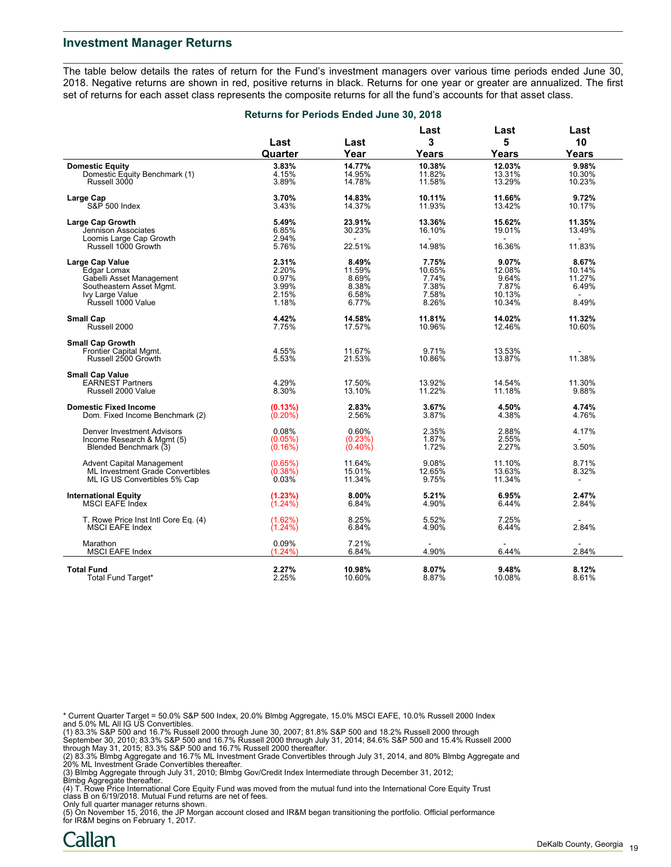#### **Investment Manager Returns**

The table below details the rates of return for the Fund's investment managers over various time periods ended June 30, 2018. Negative returns are shown in red, positive returns in black. Returns for one year or greater are annualized. The first set of returns for each asset class represents the composite returns for all the fund's accounts for that asset class.

| Last<br>Last<br>Quarter<br>Year<br>3.83%<br>14.77%<br><b>Domestic Equity</b><br>Domestic Equity Benchmark (1)<br>4.15%<br>14.95%<br>Russell 3000<br>3.89%<br>14.78%<br>3.70%<br>14.83%<br>Large Cap<br>S&P 500 Index<br>3.43%<br>14.37%<br>5.49%<br>23.91%<br><b>Large Cap Growth</b><br>6.85%<br>30.23%<br>Jennison Associates<br>2.94%<br>Loomis Large Cap Growth<br>Russell 1000 Growth<br>5.76%<br>22.51%<br>2.31%<br>8.49%<br><b>Large Cap Value</b><br>2.20%<br>11.59%<br>Edgar Lomax<br>0.97%<br>Gabelli Asset Management<br>8.69%<br>Southeastern Asset Mgmt.<br>3.99%<br>8.38%<br>Ivy Large Value<br>2.15%<br>6.58%<br>Řussell 1000 Value<br>1.18%<br>6.77%<br>4.42%<br><b>Small Cap</b><br>14.58%<br>Russell 2000<br>7.75%<br>17.57%<br><b>Small Cap Growth</b><br>4.55%<br>11.67%<br>Frontier Capital Mgmt.<br>Russell 2500 Growth<br>5.53%<br>21.53%<br><b>Small Cap Value</b><br>4.29%<br><b>EARNEST Partners</b><br>17.50%<br>Russell 2000 Value<br>8.30%<br>13.10% | 3<br>Years<br>10.38%<br>11.82%<br>11.58%<br>10.11%<br>11.93%<br>13.36%<br>16.10%<br>14.98%<br>7.75%<br>10.65% | 5<br>Years<br>12.03%<br>13.31%<br>13.29%<br>11.66%<br>13.42%<br>15.62%<br>19.01%<br>16.36%<br>9.07% | 10<br>Years<br>9.98%<br>10.30%<br>10.23%<br>9.72%<br>10.17%<br>11.35%<br>13.49%<br>11.83% |
|-----------------------------------------------------------------------------------------------------------------------------------------------------------------------------------------------------------------------------------------------------------------------------------------------------------------------------------------------------------------------------------------------------------------------------------------------------------------------------------------------------------------------------------------------------------------------------------------------------------------------------------------------------------------------------------------------------------------------------------------------------------------------------------------------------------------------------------------------------------------------------------------------------------------------------------------------------------------------------------|---------------------------------------------------------------------------------------------------------------|-----------------------------------------------------------------------------------------------------|-------------------------------------------------------------------------------------------|
|                                                                                                                                                                                                                                                                                                                                                                                                                                                                                                                                                                                                                                                                                                                                                                                                                                                                                                                                                                                   |                                                                                                               |                                                                                                     |                                                                                           |
|                                                                                                                                                                                                                                                                                                                                                                                                                                                                                                                                                                                                                                                                                                                                                                                                                                                                                                                                                                                   |                                                                                                               |                                                                                                     |                                                                                           |
|                                                                                                                                                                                                                                                                                                                                                                                                                                                                                                                                                                                                                                                                                                                                                                                                                                                                                                                                                                                   |                                                                                                               |                                                                                                     |                                                                                           |
|                                                                                                                                                                                                                                                                                                                                                                                                                                                                                                                                                                                                                                                                                                                                                                                                                                                                                                                                                                                   |                                                                                                               |                                                                                                     |                                                                                           |
|                                                                                                                                                                                                                                                                                                                                                                                                                                                                                                                                                                                                                                                                                                                                                                                                                                                                                                                                                                                   |                                                                                                               |                                                                                                     |                                                                                           |
|                                                                                                                                                                                                                                                                                                                                                                                                                                                                                                                                                                                                                                                                                                                                                                                                                                                                                                                                                                                   |                                                                                                               |                                                                                                     |                                                                                           |
|                                                                                                                                                                                                                                                                                                                                                                                                                                                                                                                                                                                                                                                                                                                                                                                                                                                                                                                                                                                   |                                                                                                               |                                                                                                     |                                                                                           |
|                                                                                                                                                                                                                                                                                                                                                                                                                                                                                                                                                                                                                                                                                                                                                                                                                                                                                                                                                                                   |                                                                                                               |                                                                                                     |                                                                                           |
|                                                                                                                                                                                                                                                                                                                                                                                                                                                                                                                                                                                                                                                                                                                                                                                                                                                                                                                                                                                   |                                                                                                               |                                                                                                     |                                                                                           |
|                                                                                                                                                                                                                                                                                                                                                                                                                                                                                                                                                                                                                                                                                                                                                                                                                                                                                                                                                                                   |                                                                                                               |                                                                                                     |                                                                                           |
|                                                                                                                                                                                                                                                                                                                                                                                                                                                                                                                                                                                                                                                                                                                                                                                                                                                                                                                                                                                   |                                                                                                               |                                                                                                     |                                                                                           |
|                                                                                                                                                                                                                                                                                                                                                                                                                                                                                                                                                                                                                                                                                                                                                                                                                                                                                                                                                                                   |                                                                                                               |                                                                                                     | 8.67%                                                                                     |
|                                                                                                                                                                                                                                                                                                                                                                                                                                                                                                                                                                                                                                                                                                                                                                                                                                                                                                                                                                                   |                                                                                                               | 12.08%                                                                                              | 10.14%                                                                                    |
|                                                                                                                                                                                                                                                                                                                                                                                                                                                                                                                                                                                                                                                                                                                                                                                                                                                                                                                                                                                   | 7.74%                                                                                                         | 9.64%                                                                                               | 11.27%                                                                                    |
|                                                                                                                                                                                                                                                                                                                                                                                                                                                                                                                                                                                                                                                                                                                                                                                                                                                                                                                                                                                   | 7.38%                                                                                                         | 7.87%                                                                                               | 6.49%                                                                                     |
|                                                                                                                                                                                                                                                                                                                                                                                                                                                                                                                                                                                                                                                                                                                                                                                                                                                                                                                                                                                   | 7.58%                                                                                                         | 10.13%                                                                                              |                                                                                           |
|                                                                                                                                                                                                                                                                                                                                                                                                                                                                                                                                                                                                                                                                                                                                                                                                                                                                                                                                                                                   | 8.26%                                                                                                         | 10.34%                                                                                              | 8.49%                                                                                     |
|                                                                                                                                                                                                                                                                                                                                                                                                                                                                                                                                                                                                                                                                                                                                                                                                                                                                                                                                                                                   | 11.81%                                                                                                        | 14.02%                                                                                              | 11.32%                                                                                    |
|                                                                                                                                                                                                                                                                                                                                                                                                                                                                                                                                                                                                                                                                                                                                                                                                                                                                                                                                                                                   | 10.96%                                                                                                        | 12.46%                                                                                              | 10.60%                                                                                    |
|                                                                                                                                                                                                                                                                                                                                                                                                                                                                                                                                                                                                                                                                                                                                                                                                                                                                                                                                                                                   |                                                                                                               |                                                                                                     |                                                                                           |
|                                                                                                                                                                                                                                                                                                                                                                                                                                                                                                                                                                                                                                                                                                                                                                                                                                                                                                                                                                                   | 9.71%                                                                                                         | 13.53%                                                                                              |                                                                                           |
|                                                                                                                                                                                                                                                                                                                                                                                                                                                                                                                                                                                                                                                                                                                                                                                                                                                                                                                                                                                   | 10.86%                                                                                                        | 13.87%                                                                                              | 11.38%                                                                                    |
|                                                                                                                                                                                                                                                                                                                                                                                                                                                                                                                                                                                                                                                                                                                                                                                                                                                                                                                                                                                   |                                                                                                               |                                                                                                     |                                                                                           |
|                                                                                                                                                                                                                                                                                                                                                                                                                                                                                                                                                                                                                                                                                                                                                                                                                                                                                                                                                                                   | 13.92%                                                                                                        | 14.54%                                                                                              | 11.30%                                                                                    |
|                                                                                                                                                                                                                                                                                                                                                                                                                                                                                                                                                                                                                                                                                                                                                                                                                                                                                                                                                                                   | 11.22%                                                                                                        | 11.18%                                                                                              | 9.88%                                                                                     |
| <b>Domestic Fixed Income</b><br>(0.13%)<br>2.83%                                                                                                                                                                                                                                                                                                                                                                                                                                                                                                                                                                                                                                                                                                                                                                                                                                                                                                                                  | 3.67%                                                                                                         | 4.50%                                                                                               | 4.74%                                                                                     |
| Dom. Fixed Income Benchmark (2)<br>$(0.20\%)$<br>2.56%                                                                                                                                                                                                                                                                                                                                                                                                                                                                                                                                                                                                                                                                                                                                                                                                                                                                                                                            | 3.87%                                                                                                         | 4.38%                                                                                               | 4.76%                                                                                     |
| <b>Denver Investment Advisors</b><br>0.08%<br>0.60%                                                                                                                                                                                                                                                                                                                                                                                                                                                                                                                                                                                                                                                                                                                                                                                                                                                                                                                               | 2.35%                                                                                                         | 2.88%                                                                                               | 4.17%                                                                                     |
| (0.05%)<br>Income Research & Mgmt (5)<br>(0.23%)                                                                                                                                                                                                                                                                                                                                                                                                                                                                                                                                                                                                                                                                                                                                                                                                                                                                                                                                  | 1.87%                                                                                                         | 2.55%                                                                                               | $\sim$                                                                                    |
| Blended Benchmark (3)<br>$(0.40\%)$<br>(0.16%)                                                                                                                                                                                                                                                                                                                                                                                                                                                                                                                                                                                                                                                                                                                                                                                                                                                                                                                                    | 1.72%                                                                                                         | 2.27%                                                                                               | 3.50%                                                                                     |
| 11.64%<br>Advent Capital Management<br>(0.65%)                                                                                                                                                                                                                                                                                                                                                                                                                                                                                                                                                                                                                                                                                                                                                                                                                                                                                                                                    | 9.08%                                                                                                         | 11.10%                                                                                              | 8.71%                                                                                     |
| (0.38%)<br>15.01%<br><b>ML Investment Grade Convertibles</b>                                                                                                                                                                                                                                                                                                                                                                                                                                                                                                                                                                                                                                                                                                                                                                                                                                                                                                                      | 12.65%                                                                                                        | 13.63%                                                                                              | 8.32%                                                                                     |
| 0.03%<br>11.34%<br>ML IG US Convertibles 5% Cap                                                                                                                                                                                                                                                                                                                                                                                                                                                                                                                                                                                                                                                                                                                                                                                                                                                                                                                                   | 9.75%                                                                                                         | 11.34%                                                                                              | $\blacksquare$                                                                            |
| <b>International Equity</b><br>(1.23%)<br>8.00%                                                                                                                                                                                                                                                                                                                                                                                                                                                                                                                                                                                                                                                                                                                                                                                                                                                                                                                                   | 5.21%                                                                                                         | 6.95%                                                                                               | 2.47%                                                                                     |
| <b>MSCI EAFE Index</b><br>$(1.24\%)$<br>6.84%                                                                                                                                                                                                                                                                                                                                                                                                                                                                                                                                                                                                                                                                                                                                                                                                                                                                                                                                     | 4.90%                                                                                                         | 6.44%                                                                                               | 2.84%                                                                                     |
| (1.62%)<br>8.25%<br>T. Rowe Price Inst Intl Core Eq. (4)                                                                                                                                                                                                                                                                                                                                                                                                                                                                                                                                                                                                                                                                                                                                                                                                                                                                                                                          | 5.52%                                                                                                         | 7.25%                                                                                               |                                                                                           |
| <b>MSCI EAFE Index</b><br>$(1.24\%)$<br>6.84%                                                                                                                                                                                                                                                                                                                                                                                                                                                                                                                                                                                                                                                                                                                                                                                                                                                                                                                                     | 4.90%                                                                                                         | 6.44%                                                                                               | 2.84%                                                                                     |
| Marathon<br>0.09%<br>7.21%                                                                                                                                                                                                                                                                                                                                                                                                                                                                                                                                                                                                                                                                                                                                                                                                                                                                                                                                                        |                                                                                                               |                                                                                                     |                                                                                           |
| <b>MSCI EAFE Index</b><br>$(1.24\%)$<br>6.84%                                                                                                                                                                                                                                                                                                                                                                                                                                                                                                                                                                                                                                                                                                                                                                                                                                                                                                                                     | 4.90%                                                                                                         | 6.44%                                                                                               | 2.84%                                                                                     |
| <b>Total Fund</b><br>2.27%<br>10.98%                                                                                                                                                                                                                                                                                                                                                                                                                                                                                                                                                                                                                                                                                                                                                                                                                                                                                                                                              | 8.07%                                                                                                         | 9.48%                                                                                               | 8.12%                                                                                     |
| 2.25%<br>10.60%<br>Total Fund Target*                                                                                                                                                                                                                                                                                                                                                                                                                                                                                                                                                                                                                                                                                                                                                                                                                                                                                                                                             | 8.87%                                                                                                         | 10.08%                                                                                              | 8.61%                                                                                     |

#### **Returns for Periods Ended June 30, 2018**

\* Current Quarter Target = 50.0% S&P 500 Index, 20.0% Blmbg Aggregate, 15.0% MSCI EAFE, 10.0% Russell 2000 Index

and 5.0% ML All IG US Convertibles.<br>(1) 83.3% S&P 500 and 16.7% Russell 2000 through June 30, 2007; 81.8% S&P 500 and 18.2% Russell 2000 through<br>September 30, 2010; 83.3% S&P 500 and 16.7% Russell 2000 through July 31, 201

(2) 83.3% Blmbg Aggregate and 16.7% ML Investment Grade Convertibles through July 31, 2014, and 80% Blmbg Aggregate and 20% ML Investment Grade Convertibles thereafter.

(3) Blmbg Aggregate through July 31, 2010; Blmbg Gov/Credit Index Intermediate through December 31, 2012; Blmbg Aggregate thereafter.

(4) T. Rowe Price International Core Equity Fund was moved from the mutual fund into the International Core Equity Trust

class B on 6/19/2018. Mutual Fund returns are net of fees.<br>Only full quarter manager returns shown.<br>(5) On November 15, 2016, the JP Morgan account closed and IR&M began transitioning the portfolio. Official performance for IR&M begins on February 1, 2017.

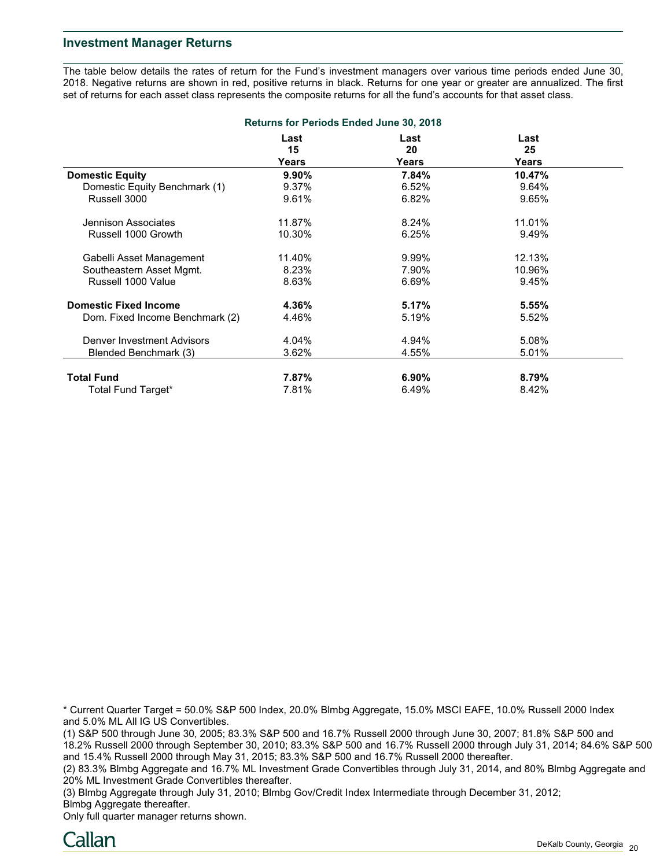#### **Investment Manager Returns**

The table below details the rates of return for the Fund's investment managers over various time periods ended June 30, 2018. Negative returns are shown in red, positive returns in black. Returns for one year or greater are annualized. The first set of returns for each asset class represents the composite returns for all the fund's accounts for that asset class.

| <b>Returns for Periods Ended June 30, 2018</b> |            |            |            |  |  |
|------------------------------------------------|------------|------------|------------|--|--|
|                                                | Last<br>15 | Last<br>20 | Last<br>25 |  |  |
|                                                | Years      | Years      | Years      |  |  |
| <b>Domestic Equity</b>                         | 9.90%      | 7.84%      | 10.47%     |  |  |
| Domestic Equity Benchmark (1)                  | 9.37%      | 6.52%      | 9.64%      |  |  |
| Russell 3000                                   | 9.61%      | 6.82%      | 9.65%      |  |  |
| Jennison Associates                            | 11.87%     | 8.24%      | 11.01%     |  |  |
| Russell 1000 Growth                            | 10.30%     | 6.25%      | 9.49%      |  |  |
| Gabelli Asset Management                       | 11.40%     | 9.99%      | 12.13%     |  |  |
| Southeastern Asset Mgmt.                       | 8.23%      | 7.90%      | 10.96%     |  |  |
| Russell 1000 Value                             | 8.63%      | 6.69%      | 9.45%      |  |  |
| <b>Domestic Fixed Income</b>                   | 4.36%      | 5.17%      | 5.55%      |  |  |
| Dom. Fixed Income Benchmark (2)                | 4.46%      | 5.19%      | 5.52%      |  |  |
| Denver Investment Advisors                     | 4.04%      | 4.94%      | 5.08%      |  |  |
| Blended Benchmark (3)                          | 3.62%      | 4.55%      | 5.01%      |  |  |
| <b>Total Fund</b>                              | 7.87%      | $6.90\%$   | 8.79%      |  |  |
| Total Fund Target*                             | 7.81%      | 6.49%      | 8.42%      |  |  |

\* Current Quarter Target = 50.0% S&P 500 Index, 20.0% Blmbg Aggregate, 15.0% MSCI EAFE, 10.0% Russell 2000 Index and 5.0% ML All IG US Convertibles.

(1) S&P 500 through June 30, 2005; 83.3% S&P 500 and 16.7% Russell 2000 through June 30, 2007; 81.8% S&P 500 and 18.2% Russell 2000 through September 30, 2010; 83.3% S&P 500 and 16.7% Russell 2000 through July 31, 2014; 84.6% S&P 500 and 15.4% Russell 2000 through May 31, 2015; 83.3% S&P 500 and 16.7% Russell 2000 thereafter.

(2) 83.3% Blmbg Aggregate and 16.7% ML Investment Grade Convertibles through July 31, 2014, and 80% Blmbg Aggregate and 20% ML Investment Grade Convertibles thereafter.

(3) Blmbg Aggregate through July 31, 2010; Blmbg Gov/Credit Index Intermediate through December 31, 2012; Blmbg Aggregate thereafter.

Only full quarter manager returns shown.